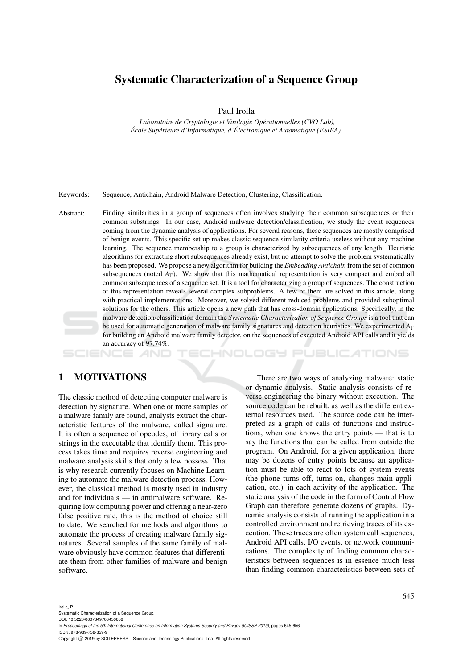# Systematic Characterization of a Sequence Group

#### Paul Irolla

*Laboratoire de Cryptologie et Virologie Operationnelles (CVO Lab), ´ Ecole Sup ´ erieure d'Informatique, d' ´ Electronique et Automatique (ESIEA), ´*

Keywords: Sequence, Antichain, Android Malware Detection, Clustering, Classification.

Abstract: Finding similarities in a group of sequences often involves studying their common subsequences or their common substrings. In our case, Android malware detection/classification, we study the event sequences coming from the dynamic analysis of applications. For several reasons, these sequences are mostly comprised of benign events. This specific set up makes classic sequence similarity criteria useless without any machine learning. The sequence membership to a group is characterized by subsequences of any length. Heuristic algorithms for extracting short subsequences already exist, but no attempt to solve the problem systematically has been proposed. We propose a new algorithm for building the *Embedding Antichain* from the set of common subsequences (noted  $A_{\Gamma}$ ). We show that this mathematical representation is very compact and embed all common subsequences of a sequence set. It is a tool for characterizing a group of sequences. The construction of this representation reveals several complex subproblems. A few of them are solved in this article, along with practical implementations. Moreover, we solved different reduced problems and provided suboptimal solutions for the others. This article opens a new path that has cross-domain applications. Specifically, in the malware detection/classification domain the *Systematic Characterization of Sequence Groups* is a tool that can be used for automatic generation of malware family signatures and detection heuristics. We experimented *A*<sup>Γ</sup> for building an Android malware family detector, on the sequences of executed Android API calls and it yields an accuracy of 97.74%.

-INOLOGY Pl

## 1 MOTIVATIONS

The classic method of detecting computer malware is detection by signature. When one or more samples of a malware family are found, analysts extract the characteristic features of the malware, called signature. It is often a sequence of opcodes, of library calls or strings in the executable that identify them. This process takes time and requires reverse engineering and malware analysis skills that only a few possess. That is why research currently focuses on Machine Learning to automate the malware detection process. However, the classical method is mostly used in industry and for individuals — in antimalware software. Requiring low computing power and offering a near-zero false positive rate, this is the method of choice still to date. We searched for methods and algorithms to automate the process of creating malware family signatures. Several samples of the same family of malware obviously have common features that differentiate them from other families of malware and benign software.

There are two ways of analyzing malware: static or dynamic analysis. Static analysis consists of reverse engineering the binary without execution. The source code can be rebuilt, as well as the different external resources used. The source code can be interpreted as a graph of calls of functions and instructions, when one knows the entry points — that is to say the functions that can be called from outside the program. On Android, for a given application, there may be dozens of entry points because an application must be able to react to lots of system events (the phone turns off, turns on, changes main application, etc.) in each activity of the application. The static analysis of the code in the form of Control Flow Graph can therefore generate dozens of graphs. Dynamic analysis consists of running the application in a controlled environment and retrieving traces of its execution. These traces are often system call sequences, Android API calls, I/O events, or network communications. The complexity of finding common characteristics between sequences is in essence much less than finding common characteristics between sets of

**JBLIC ATIONS** 

DOI: 10.5220/0007349706450656

In *Proceedings of the 5th International Conference on Information Systems Security and Privacy (ICISSP 2019)*, pages 645-656 ISBN: 978-989-758-359-9

Copyright C 2019 by SCITEPRESS - Science and Technology Publications, Lda. All rights reserved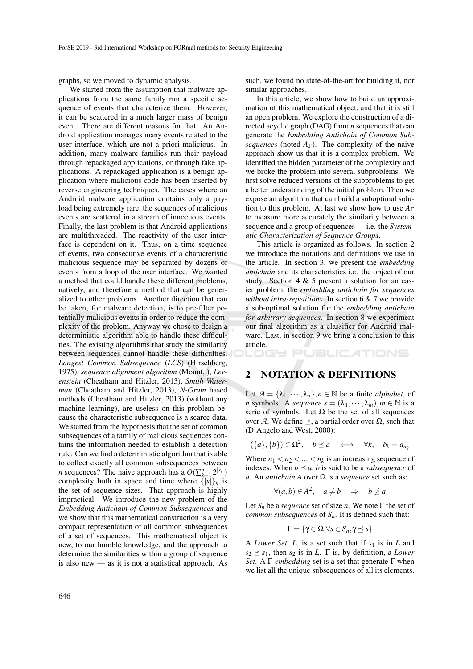graphs, so we moved to dynamic analysis.

We started from the assumption that malware applications from the same family run a specific sequence of events that characterize them. However, it can be scattered in a much larger mass of benign event. There are different reasons for that. An Android application manages many events related to the user interface, which are not a priori malicious. In addition, many malware families run their payload through repackaged applications, or through fake applications. A repackaged application is a benign application where malicious code has been inserted by reverse engineering techniques. The cases where an Android malware application contains only a payload being extremely rare, the sequences of malicious events are scattered in a stream of innocuous events. Finally, the last problem is that Android applications are multithreaded. The reactivity of the user interface is dependent on it. Thus, on a time sequence of events, two consecutive events of a characteristic malicious sequence may be separated by dozens of events from a loop of the user interface. We wanted a method that could handle these different problems, natively, and therefore a method that can be generalized to other problems. Another direction that can be taken, for malware detection, is to pre-filter potentially malicious events in order to reduce the complexity of the problem. Anyway we chose to design a deterministic algorithm able to handle these difficulties. The existing algorithms that study the similarity between sequences cannot handle these difficulties. *Longest Common Subsequence* (*LCS*) (Hirschberg, 1975), *sequence alignment algorithm* (Mount, ), *Levenstein* (Cheatham and Hitzler, 2013), *Smith Waterman* (Cheatham and Hitzler, 2013), *N-Gram* based methods (Cheatham and Hitzler, 2013) (without any machine learning), are useless on this problem because the characteristic subsequence is a scarce data. We started from the hypothesis that the set of common subsequences of a family of malicious sequences contains the information needed to establish a detection rule. Can we find a deterministic algorithm that is able to collect exactly all common subsequences between *n* sequences? The naive approach has a  $O(\sum_{k=1}^{n} 2^{|s_i|})$ complexity both in space and time where  $\{|s|\}_k$  is the set of sequence sizes. That approach is highly impractical. We introduce the new problem of the *Embedding Antichain of Common Subsequences* and we show that this mathematical construction is a very compact representation of all common subsequences of a set of sequences. This mathematical object is new, to our humble knowledge, and the approach to determine the similarities within a group of sequence is also new — as it is not a statistical approach. As

646

such, we found no state-of-the-art for building it, nor similar approaches.

In this article, we show how to build an approximation of this mathematical object, and that it is still an open problem. We explore the construction of a directed acyclic graph (DAG) from *n* sequences that can generate the *Embedding Antichain of Common Subsequences* (noted  $A_{\Gamma}$ ). The complexity of the naive approach show us that it is a complex problem. We identified the hidden parameter of the complexity and we broke the problem into several subproblems. We first solve reduced versions of the subproblems to get a better understanding of the initial problem. Then we expose an algorithm that can build a suboptimal solution to this problem. At last we show how to use *A*<sup>Γ</sup> to measure more accurately the similarity between a sequence and a group of sequences — i.e. the *Systematic Characterization of Sequence Groups*.

This article is organized as follows. In section 2 we introduce the notations and definitions we use in the article. In section 3, we present the *embedding antichain* and its characteristics i.e. the object of our study. Section  $4 \& 5$  present a solution for an easier problem, the *embedding antichain for sequences without intra-repetitions*. In section 6 & 7 we provide a sub-optimal solution for the *embedding antichain for arbitrary sequences*. In section 8 we experiment our final algorithm as a classifier for Android malware. Last, in section 9 we bring a conclusion to this article.

**PUBLICATIONS** 

# 2 NOTATION & DEFINITIONS

Let  $A = {\lambda_1, \dots, \lambda_n}$ ,  $n \in \mathbb{N}$  be a finite *alphabet*, of *n* symbols. A *sequence*  $s = (\lambda_1, \dots, \lambda_m)$ ,  $m \in \mathbb{N}$  is a serie of symbols. Let  $\Omega$  be the set of all sequences over *A*. We define  $\preceq$ , a partial order over  $\Omega$ , such that (D'Angelo and West, 2000):

$$
(\{a\},\{b\})\in\Omega^2,\quad b\preceq a\quad\Longleftrightarrow\quad\forall k,\quad b_k=a_{n_k}
$$

Where  $n_1 < n_2 < ... < n_k$  is an increasing sequence of indexes. When  $b \prec a$ , *b* is said to be a *subsequence* of *a*. An *antichain A* over Ω is a *sequence* set such as:

$$
\forall (a,b) \in A^2, \quad a \neq b \quad \Rightarrow \quad b \npreceq a
$$

Let  $S_n$  be a *sequence* set of size *n*. We note  $\Gamma$  the set of *common subsequences* of *Sn*. It is defined such that:

$$
\Gamma = \{ \gamma \in \Omega | \forall s \in S_n, \gamma \leq s \}
$$

A *Lower Set*, *L*, is a set such that if  $s<sub>1</sub>$  is in *L* and  $s_2 \prec s_1$ , then  $s_2$  is in *L*.  $\Gamma$  is, by definition, a *Lower Set*. A Γ-*embedding* set is a set that generate Γ when we list all the unique subsequences of all its elements.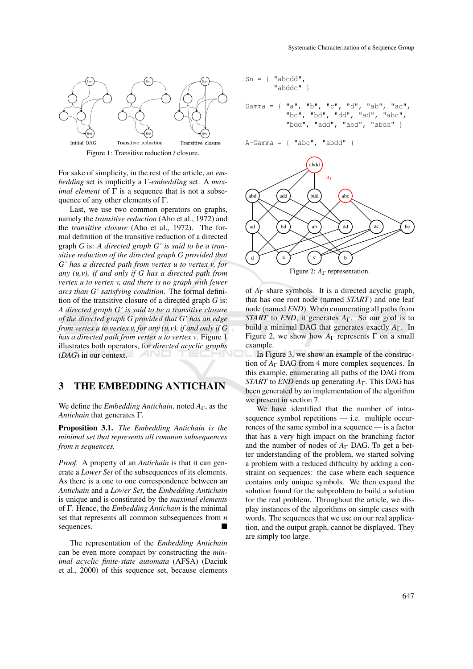

Figure 1: Transitive reduction / closure.

For sake of simplicity, in the rest of the article, an *embedding* set is implicitly a Γ-*embedding* set. A *maximal element* of  $\Gamma$  is a sequence that is not a subsequence of any other elements of  $\Gamma$ .

Last, we use two common operators on graphs, namely the *transitive reduction* (Aho et al., 1972) and the *transitive closure* (Aho et al., 1972). The formal definition of the transitive reduction of a directed graph *G* is: *A directed graph G' is said to be a transitive reduction of the directed graph G provided that G' has a directed path from vertex u to vertex v, for any (u,v), if and only if G has a directed path from vertex u to vertex v, and there is no graph with fewer arcs than G' satisfying condition*. The formal definition of the transitive closure of a directed graph *G* is: *A directed graph G' is said to be a transitive closure of the directed graph G provided that G' has an edge from vertex u to vertex v, for any (u,v), if and only if G has a directed path from vertex u to vertex v*. Figure 1 illustrates both operators, for *directed acyclic graphs* (*DAG*) in our context.

# 3 THE EMBEDDING ANTICHAIN

We define the *Embedding Antichain*, noted *A*Γ, as the *Antichain* that generates Γ.

Proposition 3.1. *The Embedding Antichain is the minimal set that represents all common subsequences from n sequences.*

*Proof.* A property of an *Antichain* is that it can generate a *Lower Set* of the subsequences of its elements. As there is a one to one correspondence between an *Antichain* and a *Lower Set*, the *Embedding Antichain* is unique and is constituted by the *maximal elements* of Γ. Hence, the *Embedding Antichain* is the minimal set that represents all common subsequences from *n* sequences.

The representation of the *Embedding Antichain* can be even more compact by constructing the *minimal acyclic finite-state automata* (AFSA) (Daciuk et al., 2000) of this sequence set, because elements

$$
Sn = { "abcdd","abddc" }
$$

$$
\text{Gamma} = \{ \begin{array}{c} \text{''a", "b", "c", "d", "ab", "ac",} \\ \text{``bc", "bd", "dd", "ad", "ad", "abc",} \\ \text{``bdd", "add", "abd", "abdd" } \end{array} \}
$$

 $A-Gamma = \{ "abc", "abdd" \}$ 



of *A*<sup>Γ</sup> share symbols. It is a directed acyclic graph, that has one root node (named *START*) and one leaf node (named *END*). When enumerating all paths from *START* to *END*, it generates *A*<sub>Γ</sub>. So our goal is to build a minimal DAG that generates exactly *A*Γ. In Figure 2, we show how  $A_{\Gamma}$  represents  $\Gamma$  on a small example.

In Figure 3, we show an example of the construction of *A*<sup>Γ</sup> DAG from 4 more complex sequences. In this example, enumerating all paths of the DAG from *START* to *END* ends up generating *A*<sub>Γ</sub>. This DAG has been generated by an implementation of the algorithm we present in section 7.

We have identified that the number of intrasequence symbol repetitions — i.e. multiple occurrences of the same symbol in a sequence — is a factor that has a very high impact on the branching factor and the number of nodes of *A*<sup>Γ</sup> DAG. To get a better understanding of the problem, we started solving a problem with a reduced difficulty by adding a constraint on sequences: the case where each sequence contains only unique symbols. We then expand the solution found for the subproblem to build a solution for the real problem. Throughout the article, we display instances of the algorithms on simple cases with words. The sequences that we use on our real application, and the output graph, cannot be displayed. They are simply too large.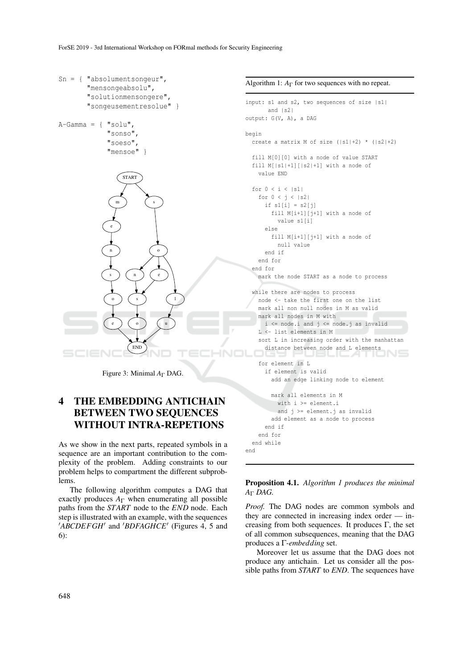```
Sn = { "absolumentsongeur",
       "mensongeabsolu",
       "solutionmensongere",
       "songeusementresolue" }
```
 $A-Gamma = \{ "solu",$ "sonso", "soeso",





Figure 3: Minimal *A*<sup>Γ</sup> DAG.

# 4 THE EMBEDDING ANTICHAIN BETWEEN TWO SEQUENCES WITHOUT INTRA-REPETIONS

As we show in the next parts, repeated symbols in a sequence are an important contribution to the complexity of the problem. Adding constraints to our problem helps to compartment the different subproblems.

The following algorithm computes a DAG that exactly produces  $A_{\Gamma}$  when enumerating all possible paths from the *START* node to the *END* node. Each step is illustrated with an example, with the sequences 'ABCDEFGH' and 'BDFAGHCE' (Figures 4, 5 and 6):

```
input: s1 and s2, two sequences of size |s1|
       and |s2|output: G(V, A), a DAG
begin
  create a matrix M of size (|s1|+2) * (|s2|+2)fill M[0][0] with a node of value START
  fill M[|s1|+1][|s2|+1] with a node of
    value END
  for 0 < i < |s1|for 0 < j < |s2|if \ s1[i] = s2[j]fill M[i+1][j+1] with a node of
          value s1[i]
      else
        fill M[i+1][j+1] with a node of
          null value
      end if
    end for
  end for
   mark the node START as a node to process
  while there are nodes to process
    node <- take the first one on the list
    mark all non null nodes in M as valid
    mark all nodes in M with
     i \leq node.i and j \leq node.j as invalid
    L <- list elements in M
    sort L in increasing order with the manhattan
      distance between node and L elements
    for element in L
      if element is valid
        add an edge linking node to element
        mark all elements in M
          with i >= element.i
          and j \geq  element. j as invalid
        add element as a node to process
      end if
    end for
  end while
end
```
Algorithm 1:  $A_{\Gamma}$  for two sequences with no repeat.

### Proposition 4.1. *Algorithm 1 produces the minimal A*<sup>Γ</sup> *DAG.*

*Proof.* The DAG nodes are common symbols and they are connected in increasing index order — increasing from both sequences. It produces Γ, the set of all common subsequences, meaning that the DAG produces a Γ-*embedding* set.

Moreover let us assume that the DAG does not produce any antichain. Let us consider all the possible paths from *START* to *END*. The sequences have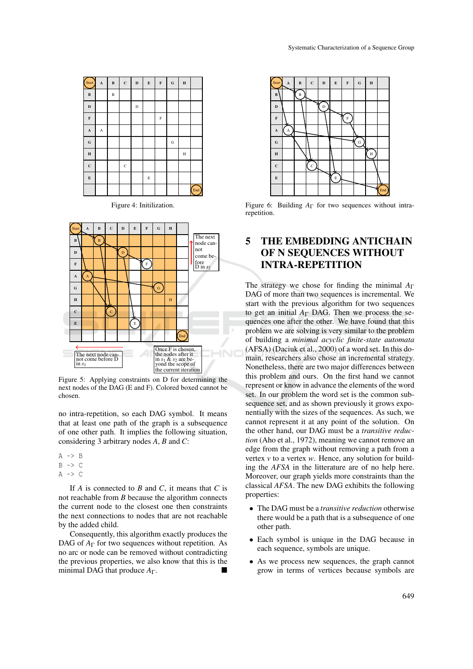

Figure 4: Initilization.



Figure 5: Applying constraints on D for determining the next nodes of the DAG (E and F). Colored boxed cannot be chosen.

no intra-repetition, so each DAG symbol. It means that at least one path of the graph is a subsequence of one other path. It implies the following situation, considering 3 arbitrary nodes *A*, *B* and *C*:

 $A \rightarrow B$  $B \rightarrow C$  $A \rightarrow C$ 

If *A* is connected to *B* and *C*, it means that *C* is not reachable from *B* because the algorithm connects the current node to the closest one then constraints the next connections to nodes that are not reachable by the added child.

Consequently, this algorithm exactly produces the DAG of  $A_{\Gamma}$  for two sequences without repetition. As no arc or node can be removed without contradicting the previous properties, we also know that this is the minimal DAG that produce *A*Γ.



Figure 6: Building  $A_{\Gamma}$  for two sequences without intrarepetition.

# 5 THE EMBEDDING ANTICHAIN OF N SEQUENCES WITHOUT INTRA-REPETITION

The strategy we chose for finding the minimal *A*<sup>Γ</sup> DAG of more than two sequences is incremental. We start with the previous algorithm for two sequences to get an initial  $A_{\Gamma}$  DAG. Then we process the sequences one after the other. We have found that this problem we are solving is very similar to the problem of building a *minimal acyclic finite-state automata* (AFSA) (Daciuk et al., 2000) of a word set. In this domain, researchers also chose an incremental strategy. Nonetheless, there are two major differences between this problem and ours. On the first hand we cannot represent or know in advance the elements of the word set. In our problem the word set is the common subsequence set, and as shown previously it grows exponentially with the sizes of the sequences. As such, we cannot represent it at any point of the solution. On the other hand, our DAG must be a *transitive reduction* (Aho et al., 1972), meaning we cannot remove an edge from the graph without removing a path from a vertex *v* to a vertex *w*. Hence, any solution for building the *AFSA* in the litterature are of no help here. Moreover, our graph yields more constraints than the classical *AFSA*. The new DAG exhibits the following properties:

- The DAG must be a *transitive reduction* otherwise there would be a path that is a subsequence of one other path.
- Each symbol is unique in the DAG because in each sequence, symbols are unique.
- As we process new sequences, the graph cannot grow in terms of vertices because symbols are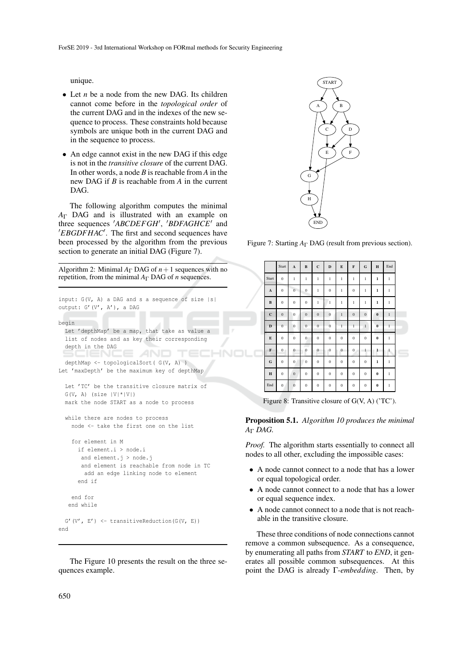unique.

- Let *n* be a node from the new DAG. Its children cannot come before in the *topological order* of the current DAG and in the indexes of the new sequence to process. These constraints hold because symbols are unique both in the current DAG and in the sequence to process.
- An edge cannot exist in the new DAG if this edge is not in the *transitive closure* of the current DAG. In other words, a node *B* is reachable from *A* in the new DAG if *B* is reachable from *A* in the current DAG.

The following algorithm computes the minimal *A*<sup>Γ</sup> DAG and is illustrated with an example on three sequences 'ABCDEFGH', 'BDFAGHCE' and 'EBGDFHAC'. The first and second sequences have been processed by the algorithm from the previous section to generate an initial DAG (Figure 7).

Algorithm 2: Minimal  $A_{\Gamma}$  DAG of  $n+1$  sequences with no repetition, from the minimal *A*<sup>Γ</sup> DAG of *n* sequences.

```
input: G(V, A) a DAG and s a sequence of size |s|
output: G'(V', A'), a DAG
begin
 Let 'depthMap' be a map, that take as value a
 list of nodes and as key their corresponding
 depth in the DAG
                       AND TEC
                                             HNOL
 depthMap <- topologicalSort( G(V, A) )
Let 'maxDepth' be the maximum key of depthMap
 Let 'TC' be the transitive closure matrix of
 G(V, A) (size |V| * |V|)
 mark the node START as a node to process
```

```
while there are nodes to process
 node <- take the first one on the list
```

```
for element in M
      if element.i > node.i
      and element.j > node.j
      and element is reachable from node in TC
       add an edge linking node to element
      end if
   end for
   end while
  G' (V', E') <- transitiveReduction (G(V, E))
end
```
The Figure 10 presents the result on the three sequences example.



Figure 7: Starting *A*<sup>Γ</sup> DAG (result from previous section).

|              | Start          | $\mathbf{A}$   | $\bf{B}$       | $\mathbf{C}$   | D              | E              | F            | G              | $\mathbf H$  | End            |
|--------------|----------------|----------------|----------------|----------------|----------------|----------------|--------------|----------------|--------------|----------------|
| Start        | $\mathbf{0}$   | $\mathbf{1}$   | 1              | 1              | $\mathbf{1}$   | $\mathbf{1}$   | 1            | $\mathbf{1}$   | 1            | $\mathbf{1}$   |
| $\mathbf{A}$ | $\mathbf{0}$   | $\overline{0}$ | $\overline{0}$ | $\mathbf{1}$   | $\overline{0}$ | $\mathbf{1}$   | $\mathbf{0}$ | $\mathbf{1}$   | $\mathbf{1}$ | $\,1$          |
| B            | $\mathbf{0}$   | $\bf{0}$       | $\overline{0}$ | $\mathbf{1}$   | $\mathbf{1}$   | $\mathbf{1}$   | $\mathbf{1}$ | $\mathbf{1}$   | $\mathbf{1}$ | $\mathbf{1}$   |
| $\mathbf C$  | $\mathbf{0}$   | $\mathbf{0}$   | $\mathbf{0}$   | $\mathbf{0}$   | $\theta$       | $\mathbf{1}$   | $\mathbf{0}$ | $\mathbf{0}$   | $\bf{0}$     | 1              |
| D            | $\overline{0}$ | $\mathbf{0}$   | $\overline{0}$ | $\overline{0}$ | $\overline{0}$ | $\overline{1}$ | $\mathbf{1}$ | $\overline{1}$ | $\bf{0}$     | $\mathbf{1}$   |
| ${\bf E}$    | $\Omega$       | $\mathbf{0}$   | $\mathbf{0}$   | $\mathbf{0}$   | $\overline{0}$ | $\overline{0}$ | $\bf{0}$     | $\mathbf{0}$   | $\bf{0}$     | $\mathbf{1}$   |
| F            | $\mathbf{0}$   | $\mathbf{0}$   | $\overline{0}$ | $\overline{0}$ | $\overline{0}$ | $\theta$       | $\mathbf{0}$ | $\mathbf{1}$   | $\mathbf{1}$ | $\overline{1}$ |
| G            | $\mathbf{0}$   | $\mathbf{0}$   | $\mathbf{0}$   | $\overline{0}$ | $\overline{0}$ | $\mathbf{0}$   | $\mathbf{0}$ | $\mathbf{0}$   | $\mathbf{1}$ | $\mathbf{1}$   |
| $\mathbf H$  | $\mathbf{0}$   | $\overline{0}$ | $\mathbf{0}$   | $\mathbf{0}$   | $\overline{0}$ | $\mathbf{0}$   | $\mathbf{0}$ | $\mathbf{0}$   | $\bf{0}$     | $\mathbf{1}$   |
| End          | $\mathbf{0}$   | $\overline{0}$ | $\mathbf{0}$   | $\mathbf{0}$   | $\mathbf{0}$   | $\mathbf{0}$   | $\mathbf{0}$ | $\mathbf{0}$   | $\bf{0}$     | $\mathbf{1}$   |

Figure 8: Transitive closure of G(V, A) ('TC').

Proposition 5.1. *Algorithm 10 produces the minimal A*<sup>Γ</sup> *DAG.*

*Proof.* The algorithm starts essentially to connect all nodes to all other, excluding the impossible cases:

- A node cannot connect to a node that has a lower or equal topological order.
- A node cannot connect to a node that has a lower or equal sequence index.
- A node cannot connect to a node that is not reachable in the transitive closure.

These three conditions of node connections cannot remove a common subsequence. As a consequence, by enumerating all paths from *START* to *END*, it generates all possible common subsequences. At this point the DAG is already Γ-*embedding*. Then, by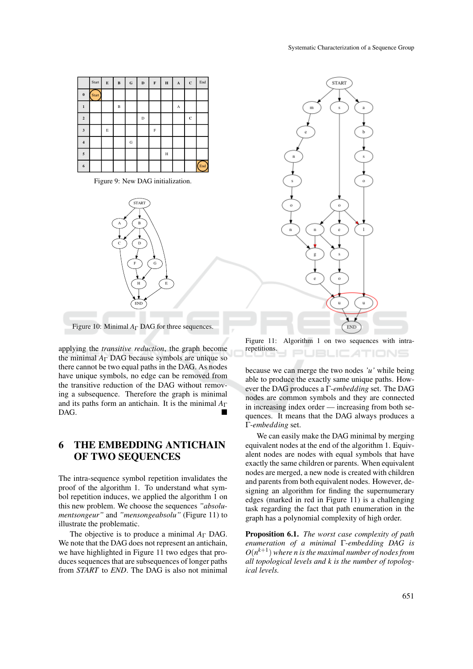|                         | Start        | E | $\, {\bf B}$ | ${\bf G}$ | $\mathbf D$ | F | $\bf H$ | $\boldsymbol{\rm{A}}$ | $\mathbf{C}$ | End |
|-------------------------|--------------|---|--------------|-----------|-------------|---|---------|-----------------------|--------------|-----|
| $\pmb{0}$               | <b>Start</b> |   |              |           |             |   |         |                       |              |     |
| $\mathbf 1$             |              |   | B            |           |             |   |         | А                     |              |     |
| $\mathbf 2$             |              |   |              |           | D           |   |         |                       | $\mathbf{C}$ |     |
| $\overline{\mathbf{3}}$ |              | E |              |           |             | F |         |                       |              |     |
| $\overline{\mathbf{4}}$ |              |   |              | ${\bf G}$ |             |   |         |                       |              |     |
| 5                       |              |   |              |           |             |   | H       |                       |              |     |
| $\boldsymbol{6}$        |              |   |              |           |             |   |         |                       |              | End |

Figure 9: New DAG initialization.



Figure 10: Minimal *A*<sup>Γ</sup> DAG for three sequences.

applying the *transitive reduction*, the graph become the minimal  $A_{\Gamma}$  DAG because symbols are unique so there cannot be two equal paths in the DAG. As nodes have unique symbols, no edge can be removed from the transitive reduction of the DAG without removing a subsequence. Therefore the graph is minimal and its paths form an antichain. It is the minimal *A*<sup>Γ</sup>  $\Box$ 

## 6 THE EMBEDDING ANTICHAIN OF TWO SEQUENCES

The intra-sequence symbol repetition invalidates the proof of the algorithm 1. To understand what symbol repetition induces, we applied the algorithm 1 on this new problem. We choose the sequences *"absolumentsongeur"* and *"mensongeabsolu"* (Figure 11) to illustrate the problematic.

The objective is to produce a minimal *A*<sup>Γ</sup> DAG. We note that the DAG does not represent an antichain, we have highlighted in Figure 11 two edges that produces sequences that are subsequences of longer paths from *START* to *END*. The DAG is also not minimal



Figure 11: Algorithm 1 on two sequences with intrarepetitions. **JBLIC ATIONS** 

because we can merge the two nodes *'u'* while being able to produce the exactly same unique paths. However the DAG produces a Γ-*embedding* set. The DAG nodes are common symbols and they are connected in increasing index order — increasing from both sequences. It means that the DAG always produces a Γ-*embedding* set.

We can easily make the DAG minimal by merging equivalent nodes at the end of the algorithm 1. Equivalent nodes are nodes with equal symbols that have exactly the same children or parents. When equivalent nodes are merged, a new node is created with children and parents from both equivalent nodes. However, designing an algorithm for finding the supernumerary edges (marked in red in Figure 11) is a challenging task regarding the fact that path enumeration in the graph has a polynomial complexity of high order.

Proposition 6.1. *The worst case complexity of path enumeration of a minimal* Γ-*embedding DAG is*  $O(n^{k+1})$  where *n* is the maximal number of nodes from *all topological levels and k is the number of topological levels.*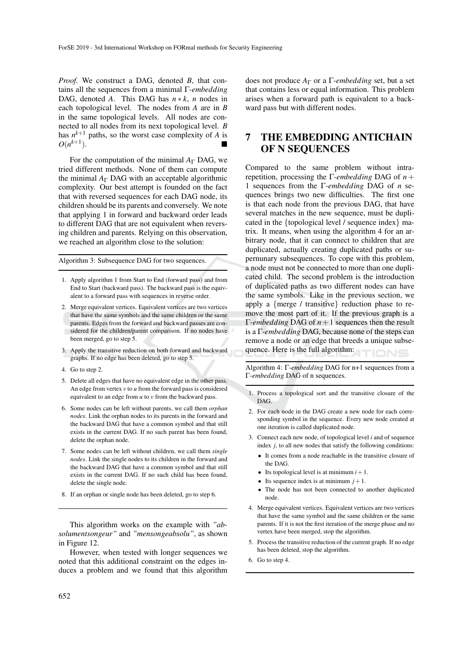*Proof.* We construct a DAG, denoted *B*, that contains all the sequences from a minimal Γ-*embedding* DAG, denoted *A*. This DAG has *n* ∗ *k*, *n* nodes in each topological level. The nodes from *A* are in *B* in the same topological levels. All nodes are connected to all nodes from its next topological level. *B* has  $n^{k+1}$  paths, so the worst case complexity of *A* is  $O(n^{k+1})$ ).

For the computation of the minimal *A*<sup>Γ</sup> DAG, we tried different methods. None of them can compute the minimal  $A_{\Gamma}$  DAG with an acceptable algorithmic complexity. Our best attempt is founded on the fact that with reversed sequences for each DAG node, its children should be its parents and conversely. We note that applying 1 in forward and backward order leads to different DAG that are not equivalent when reversing children and parents. Relying on this observation, we reached an algorithm close to the solution:

Algorithm 3: Subsequence DAG for two sequences.

- 1. Apply algorithm 1 from Start to End (forward pass) and from End to Start (backward pass). The backward pass is the equivalent to a forward pass with sequences in reverse order.
- 2. Merge equivalent vertices. Equivalent vertices are two vertices that have the same symbols and the same children or the same parents. Edges from the forward and backward passes are considered for the children/parent comparison. If no nodes have been merged, go to step 5.
- 3. Apply the transitive reduction on both forward and backward graphs. If no edge has been deleted, go to step 5.
- 4. Go to step 2.
- 5. Delete all edges that have no equivalent edge in the other pass. An edge from vertex *v* to *u* from the forward pass is considered equivalent to an edge from *u* to *v* from the backward pass.
- 6. Some nodes can be left without parents, we call them *orphan nodes*. Link the orphan nodes to its parents in the forward and the backward DAG that have a common symbol and that still exists in the current DAG. If no such parent has been found, delete the orphan node.
- 7. Some nodes can be left without children, we call them *single nodes*. Link the single nodes to its children in the forward and the backward DAG that have a common symbol and that still exists in the current DAG. If no such child has been found, delete the single node.
- 8. If an orphan or single node has been deleted, go to step 6.

This algorithm works on the example with *"absolumentsongeur"* and *"mensongeabsolu"*, as shown in Figure 12.

However, when tested with longer sequences we noted that this additional constraint on the edges induces a problem and we found that this algorithm does not produce *A*<sup>Γ</sup> or a Γ-*embedding* set, but a set that contains less or equal information. This problem arises when a forward path is equivalent to a backward pass but with different nodes.

# 7 THE EMBEDDING ANTICHAIN OF N SEQUENCES

Compared to the same problem without intrarepetition, processing the Γ-*embedding* DAG of *n* + 1 sequences from the Γ-*embedding* DAG of *n* sequences brings two new difficulties. The first one is that each node from the previous DAG, that have several matches in the new sequence, must be duplicated in the {topological level / sequence index} matrix. It means, when using the algorithm 4 for an arbitrary node, that it can connect to children that are duplicated, actually creating duplicated paths or supernunary subsequences. To cope with this problem, a node must not be connected to more than one duplicated child. The second problem is the introduction of duplicated paths as two different nodes can have the same symbols. Like in the previous section, we apply a {merge / transitive} reduction phase to remove the most part of it. If the previous graph is a Γ-*embedding* DAG of *n*+1 sequences then the result is a Γ-*embedding* DAG, because none of the steps can remove a node or an edge that breeds a unique subsequence. Here is the full algorithm:

Algorithm 4: Γ-*embedding* DAG for n+1 sequences from a Γ-*embedding* DAG of n sequences.

- 1. Process a topological sort and the transitive closure of the **DAG**
- 2. For each node in the DAG create a new node for each corresponding symbol in the sequence. Every new node created at one iteration is called duplicated node.
- 3. Connect each new node, of topological level *i* and of sequence index *j*, to all new nodes that satisfy the following conditions:
	- It comes from a node reachable in the transitive closure of the DAG.
	- Its topological level is at minimum  $i+1$ .
	- Its sequence index is at minimum  $j + 1$ .
	- The node has not been connected to another duplicated node.
- 4. Merge equivalent vertices. Equivalent vertices are two vertices that have the same symbol and the same children or the same parents. If it is not the first iteration of the merge phase and no vertex have been merged, stop the algorithm.
- 5. Process the transitive reduction of the current graph. If no edge has been deleted, stop the algorithm.
- 6. Go to step 4.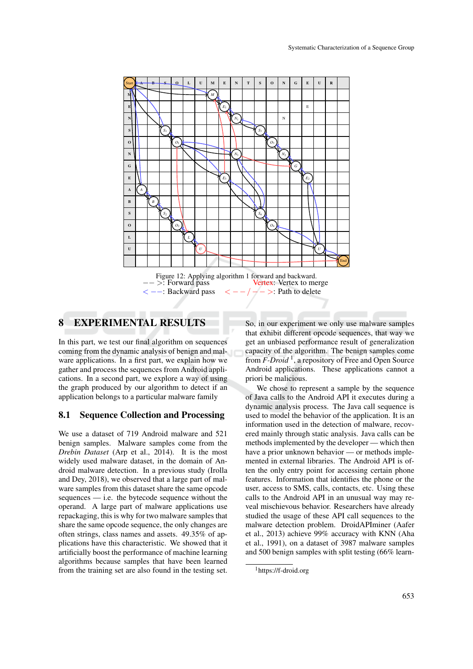

## 8 EXPERIMENTAL RESULTS

In this part, we test our final algorithm on sequences coming from the dynamic analysis of benign and malware applications. In a first part, we explain how we gather and process the sequences from Android applications. In a second part, we explore a way of using the graph produced by our algorithm to detect if an application belongs to a particular malware family

## 8.1 Sequence Collection and Processing

We use a dataset of 719 Android malware and 521 benign samples. Malware samples come from the *Drebin Dataset* (Arp et al., 2014). It is the most widely used malware dataset, in the domain of Android malware detection. In a previous study (Irolla and Dey, 2018), we observed that a large part of malware samples from this dataset share the same opcode sequences — i.e. the bytecode sequence without the operand. A large part of malware applications use repackaging, this is why for two malware samples that share the same opcode sequence, the only changes are often strings, class names and assets. 49.35% of applications have this characteristic. We showed that it artificially boost the performance of machine learning algorithms because samples that have been learned from the training set are also found in the testing set.

So, in our experiment we only use malware samples that exhibit different opcode sequences, that way we get an unbiased performance result of generalization capacity of the algorithm. The benign samples come from *F-Droid*<sup>1</sup>, a repository of Free and Open Source Android applications. These applications cannot a priori be malicious.

We chose to represent a sample by the sequence of Java calls to the Android API it executes during a dynamic analysis process. The Java call sequence is used to model the behavior of the application. It is an information used in the detection of malware, recovered mainly through static analysis. Java calls can be methods implemented by the developer — which then have a prior unknown behavior — or methods implemented in external libraries. The Android API is often the only entry point for accessing certain phone features. Information that identifies the phone or the user, access to SMS, calls, contacts, etc. Using these calls to the Android API in an unusual way may reveal mischievous behavior. Researchers have already studied the usage of these API call sequences to the malware detection problem. DroidAPIminer (Aafer et al., 2013) achieve 99% accuracy with KNN (Aha et al., 1991), on a dataset of 3987 malware samples and 500 benign samples with split testing (66% learn-

<sup>1</sup>https://f-droid.org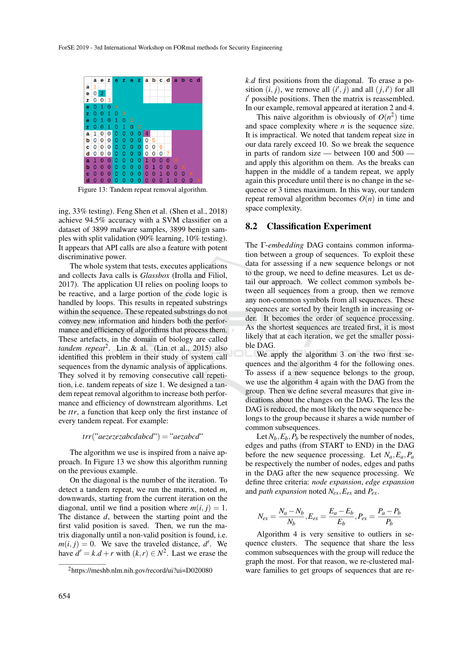

Figure 13: Tandem repeat removal algorithm.

ing, 33% testing). Feng Shen et al. (Shen et al., 2018) achieve 94.5% accuracy with a SVM classifier on a dataset of 3899 malware samples, 3899 benign samples with split validation (90% learning, 10% testing). It appears that API calls are also a feature with potent discriminative power.

The whole system that tests, executes applications and collects Java calls is *Glassbox* (Irolla and Filiol, 2017). The application UI relies on pooling loops to be reactive, and a large portion of the code logic is handled by loops. This results in repeated substrings within the sequence. These repeated substrings do not convey new information and hinders both the performance and efficiency of algorithms that process them. These artefacts, in the domain of biology are called *tandem repeat*<sup>2</sup> . Lin & al. (Lin et al., 2015) also identified this problem in their study of system call sequences from the dynamic analysis of applications. They solved it by removing consecutive call repetition, i.e. tandem repeats of size 1. We designed a tandem repeat removal algorithm to increase both performance and efficiency of downstream algorithms. Let be *ttr*, a function that keep only the first instance of every tandem repeat. For example:

*trr*("*aezezezabcdabcd*") = "*aezabcd*"

The algorithm we use is inspired from a naive approach. In Figure 13 we show this algorithm running on the previous example.

On the diagonal is the number of the iteration. To detect a tandem repeat, we run the matrix, noted *m*, downwards, starting from the current iteration on the diagonal, until we find a position where  $m(i, j) = 1$ . The distance *d*, between the starting point and the first valid position is saved. Then, we run the matrix diagonally until a non-valid position is found, i.e.  $m(i, j) = 0$ . We save the traveled distance, *d'*. We have  $d' = k.d + r$  with  $(k, r) \in N^2$ . Last we erase the

*k*.*d* first positions from the diagonal. To erase a position  $(i, j)$ , we remove all  $(i', j)$  and all  $(j, i')$  for all  $i'$  possible positions. Then the matrix is reassembled. In our example, removal appeared at iteration 2 and 4.

This naive algorithm is obviously of  $O(n^2)$  time and space complexity where *n* is the sequence size. It is impractical. We noted that tandem repeat size in our data rarely exceed 10. So we break the sequence in parts of random size — between 100 and 500 and apply this algorithm on them. As the breaks can happen in the middle of a tandem repeat, we apply again this procedure until there is no change in the sequence or 3 times maximum. In this way, our tandem repeat removal algorithm becomes  $O(n)$  in time and space complexity.

#### 8.2 Classification Experiment

The Γ-*embedding* DAG contains common information between a group of sequences. To exploit these data for assessing if a new sequence belongs or not to the group, we need to define measures. Let us detail our approach. We collect common symbols between all sequences from a group, then we remove any non-common symbols from all sequences. These sequences are sorted by their length in increasing order. It becomes the order of sequence processing. As the shortest sequences are treated first, it is most likely that at each iteration, we get the smaller possible DAG.

We apply the algorithm 3 on the two first sequences and the algorithm 4 for the following ones. To assess if a new sequence belongs to the group, we use the algorithm 4 again with the DAG from the group. Then we define several measures that give indications about the changes on the DAG. The less the DAG is reduced, the most likely the new sequence belongs to the group because it shares a wide number of common subsequences.

Let  $N_b$ ,  $E_b$ ,  $P_b$  be respectively the number of nodes, edges and paths (from START to END) in the DAG before the new sequence processing. Let  $N_a$ ,  $E_a$ ,  $P_a$ be respectively the number of nodes, edges and paths in the DAG after the new sequence processing. We define three criteria: *node expansion*, *edge expansion* and *path expansion* noted  $N_{ex}$ ,  $E_{ex}$  and  $P_{ex}$ .

$$
N_{ex} = \frac{N_a - N_b}{N_b}, E_{ex} = \frac{E_a - E_b}{E_b}, P_{ex} = \frac{P_a - P_b}{P_b}
$$

Algorithm 4 is very sensitive to outliers in sequence clusters. The sequence that share the less common subsequences with the group will reduce the graph the most. For that reason, we re-clustered malware families to get groups of sequences that are re-

<sup>2</sup>https://meshb.nlm.nih.gov/record/ui?ui=D020080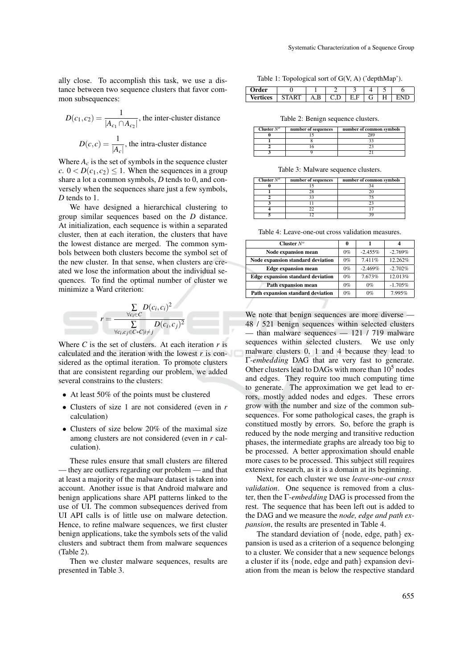ally close. To accomplish this task, we use a distance between two sequence clusters that favor common subsequences:

$$
D(c_1, c_2) = \frac{1}{|A_{c_1} \cap A_{c_2}|}
$$
, the inter-cluster distance  

$$
D(c, c) = \frac{1}{|A_c|}
$$
, the intra-cluster distance

Where  $A_c$  is the set of symbols in the sequence cluster *c*.  $0 < D(c_1, c_2) \leq 1$ . When the sequences in a group share a lot a common symbols, *D* tends to 0, and conversely when the sequences share just a few symbols, *D* tends to 1.

We have designed a hierarchical clustering to group similar sequences based on the *D* distance. At initialization, each sequence is within a separated cluster, then at each iteration, the clusters that have the lowest distance are merged. The common symbols between both clusters become the symbol set of the new cluster. In that sense, when clusters are created we lose the information about the individual sequences. To find the optimal number of cluster we minimize a Ward criterion:

$$
r = \frac{\sum\limits_{\forall c_i \in C} D(c_i, c_i)^2}{\sum\limits_{\forall c_i, c_j \in C* C | i \neq j} D(c_i, c_j)^2}
$$

Where  $C$  is the set of clusters. At each iteration  $r$  is calculated and the iteration with the lowest *r* is considered as the optimal iteration. To promote clusters that are consistent regarding our problem, we added several constrains to the clusters:

- At least 50% of the points must be clustered
- Clusters of size 1 are not considered (even in *r* calculation)
- Clusters of size below 20% of the maximal size among clusters are not considered (even in *r* calculation).

These rules ensure that small clusters are filtered — they are outliers regarding our problem — and that at least a majority of the malware dataset is taken into account. Another issue is that Android malware and benign applications share API patterns linked to the use of UI. The common subsequences derived from UI API calls is of little use on malware detection. Hence, to refine malware sequences, we first cluster benign applications, take the symbols sets of the valid clusters and subtract them from malware sequences (Table 2).

Then we cluster malware sequences, results are presented in Table 3.

Table 1: Topological sort of G(V, A) ('depthMap').

| ρr<br>- |       |                  | ۰            |   | . . |  |
|---------|-------|------------------|--------------|---|-----|--|
|         | سيديد | $\sim$<br>$\sim$ | --<br>$\sim$ | ◡ |     |  |

Table 2: Benign sequence clusters.

| Cluster $N^o$ | number of sequences | number of common symbols |
|---------------|---------------------|--------------------------|
|               |                     |                          |
|               |                     |                          |
|               |                     |                          |
|               |                     |                          |

Table 3: Malware sequence clusters.

| Cluster $\overline{N^o}$ | number of sequences | number of common symbols |
|--------------------------|---------------------|--------------------------|
|                          |                     |                          |
|                          |                     |                          |
|                          | າາ                  |                          |
|                          |                     |                          |
|                          |                     |                          |
|                          |                     |                          |

Table 4: Leave-one-out cross validation measures.

| Cluster $N^o$                            | 0     |            |           |
|------------------------------------------|-------|------------|-----------|
| <b>Node expansion mean</b>               | $0\%$ | $-2.455\%$ | $-2.769%$ |
| <b>Node expansion standard deviation</b> | $0\%$ | 7.411%     | 12.262%   |
| <b>Edge expansion mean</b>               | $0\%$ | $-2.469%$  | $-2.702%$ |
| <b>Edge expansion standard deviation</b> | $0\%$ | 7.673%     | 12.013%   |
| Path expansion mean                      | $0\%$ | $0\%$      | $-1.705%$ |
| Path expansion standard deviation        | $0\%$ | $0\%$      | 7.995%    |

We note that benign sequences are more diverse — 48 / 521 benign sequences within selected clusters — than malware sequences — 121 / 719 malware sequences within selected clusters. We use only malware clusters 0, 1 and 4 because they lead to Γ-*embedding* DAG that are very fast to generate. Other clusters lead to DAGs with more than  $10<sup>5</sup>$  nodes and edges. They require too much computing time to generate. The approximation we get lead to errors, mostly added nodes and edges. These errors grow with the number and size of the common subsequences. For some pathological cases, the graph is constitued mostly by errors. So, before the graph is reduced by the node merging and transitive reduction phases, the intermediate graphs are already too big to be processed. A better approximation should enable more cases to be processed. This subject still requires extensive research, as it is a domain at its beginning.

Next, for each cluster we use *leave-one-out cross validation*. One sequence is removed from a cluster, then the Γ-*embedding* DAG is processed from the rest. The sequence that has been left out is added to the DAG and we measure the *node, edge and path expansion*, the results are presented in Table 4.

The standard deviation of {node, edge, path} expansion is used as a criterion of a sequence belonging to a cluster. We consider that a new sequence belongs a cluster if its {node, edge and path} expansion deviation from the mean is below the respective standard